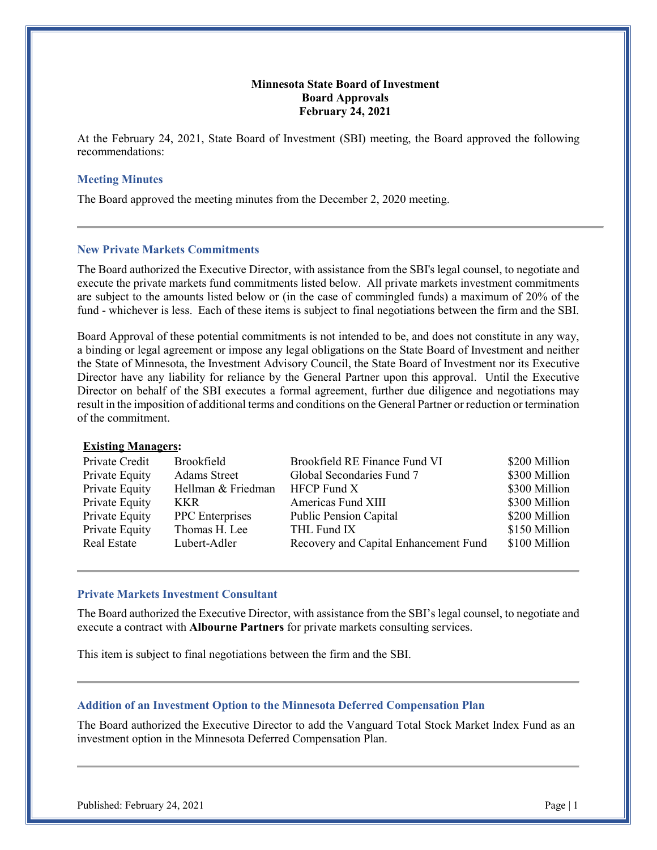## **Minnesota State Board of Investment Board Approvals February 24, 2021**

At the February 24, 2021, State Board of Investment (SBI) meeting, the Board approved the following recommendations:

### **Meeting Minutes**

The Board approved the meeting minutes from the December 2, 2020 meeting.

### **New Private Markets Commitments**

The Board authorized the Executive Director, with assistance from the SBI's legal counsel, to negotiate and execute the private markets fund commitments listed below. All private markets investment commitments are subject to the amounts listed below or (in the case of commingled funds) a maximum of 20% of the fund - whichever is less. Each of these items is subject to final negotiations between the firm and the SBI.

Board Approval of these potential commitments is not intended to be, and does not constitute in any way, a binding or legal agreement or impose any legal obligations on the State Board of Investment and neither the State of Minnesota, the Investment Advisory Council, the State Board of Investment nor its Executive Director have any liability for reliance by the General Partner upon this approval. Until the Executive Director on behalf of the SBI executes a formal agreement, further due diligence and negotiations may result in the imposition of additional terms and conditions on the General Partner or reduction or termination of the commitment.

### **Existing Managers:**

| Private Credit     | Brookfield             | Brookfield RE Finance Fund VI         | \$200 Million |
|--------------------|------------------------|---------------------------------------|---------------|
| Private Equity     | Adams Street           | Global Secondaries Fund 7             | \$300 Million |
| Private Equity     | Hellman & Friedman     | $HFCP$ Fund $X$                       | \$300 Million |
| Private Equity     | <b>KKR</b>             | Americas Fund XIII                    | \$300 Million |
| Private Equity     | <b>PPC</b> Enterprises | <b>Public Pension Capital</b>         | \$200 Million |
| Private Equity     | Thomas H. Lee          | THL Fund IX                           | \$150 Million |
| <b>Real Estate</b> | Lubert-Adler           | Recovery and Capital Enhancement Fund | \$100 Million |
|                    |                        |                                       |               |

### **Private Markets Investment Consultant**

The Board authorized the Executive Director, with assistance from the SBI's legal counsel, to negotiate and execute a contract with **Albourne Partners** for private markets consulting services.

This item is subject to final negotiations between the firm and the SBI.

#### **Addition of an Investment Option to the Minnesota Deferred Compensation Plan**

The Board authorized the Executive Director to add the Vanguard Total Stock Market Index Fund as an investment option in the Minnesota Deferred Compensation Plan.